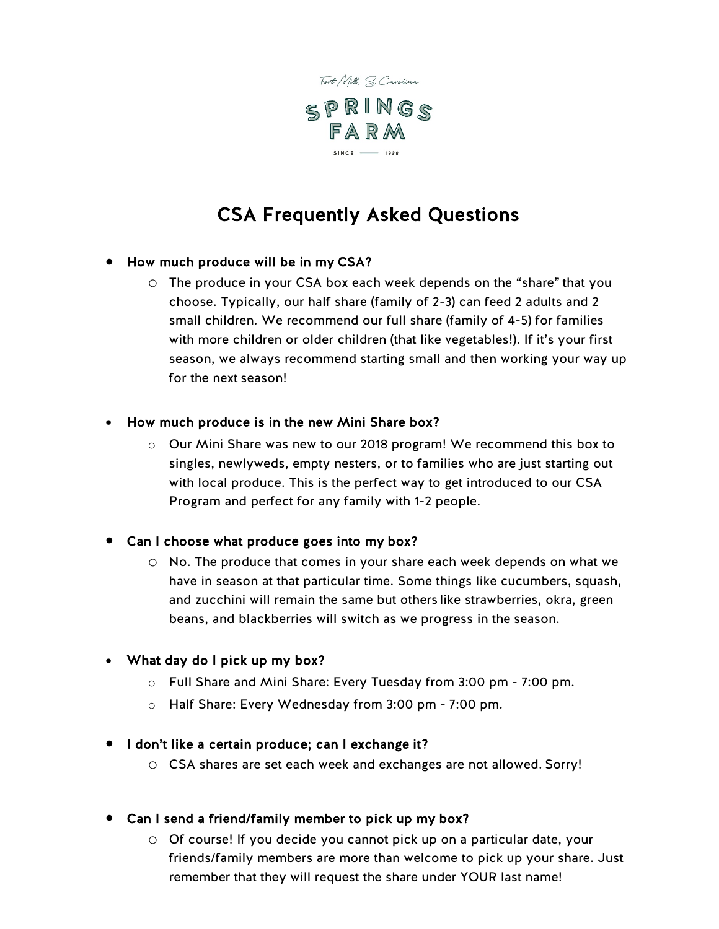

# CSA Frequently Asked Questions

# • How much produce will be in my CSA?

o The produce in your CSA box each week depends on the "share" that you choose. Typically, our half share (family of 2-3) can feed 2 adults and 2 small children. We recommend our full share (family of 4-5) for families with more children or older children (that like vegetables!). If it's your first season, we always recommend starting small and then working your way up for the next season!

#### • How much produce is in the new Mini Share box?

o Our Mini Share was new to our 2018 program! We recommend this box to singles, newlyweds, empty nesters, or to families who are just starting out with local produce. This is the perfect way to get introduced to our CSA Program and perfect for any family with 1-2 people.

#### • Can I choose what produce goes into my box?

o No. The produce that comes in your share each week depends on what we have in season at that particular time. Some things like cucumbers, squash, and zucchini will remain the same but others like strawberries, okra, green beans, and blackberries will switch as we progress in the season.

#### • What day do I pick up my box?

- o Full Share and Mini Share: Every Tuesday from 3:00 pm 7:00 pm.
- o Half Share: Every Wednesday from 3:00 pm 7:00 pm.

### • I don't like a certain produce; can I exchange it?

- o CSA shares are set each week and exchanges are not allowed. Sorry!
- Can I send a friend/family member to pick up my box?
	- o Of course! If you decide you cannot pick up on a particular date, your friends/family members are more than welcome to pick up your share. Just remember that they will request the share under YOUR last name!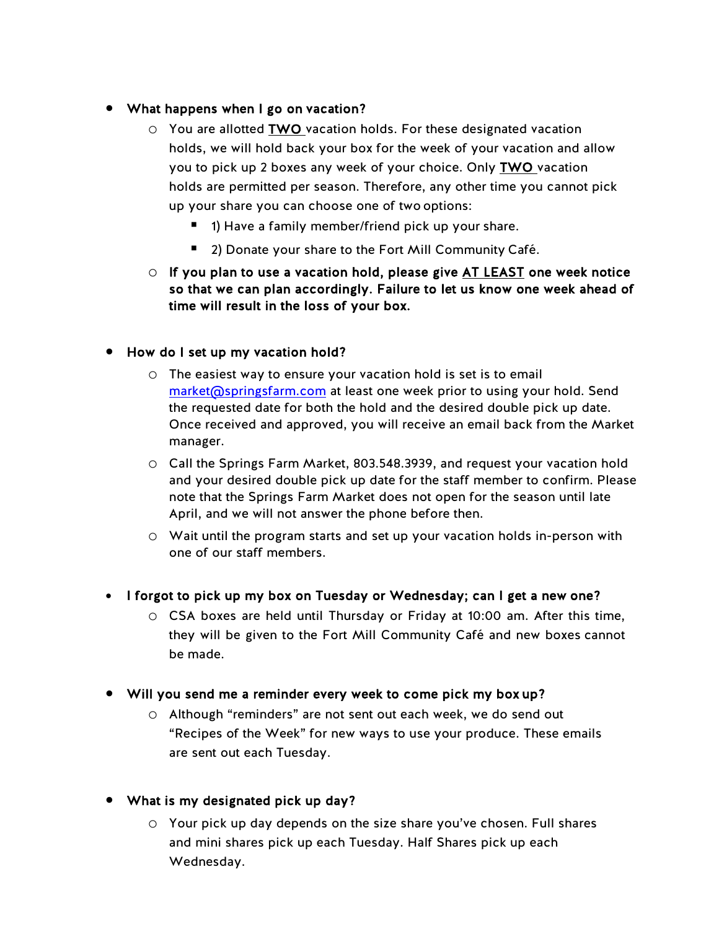# • What happens when I go on vacation?

- o You are allotted TWO vacation holds. For these designated vacation holds, we will hold back your box for the week of your vacation and allow you to pick up 2 boxes any week of your choice. Only TWO vacation holds are permitted per season. Therefore, any other time you cannot pick up your share you can choose one of two options:
	- 1) Have a family member/friend pick up your share.
	- 2) Donate your share to the Fort Mill Community Café.
- $\circ$  If you plan to use a vacation hold, please give  $AT$  LEAST one week notice so that we can plan accordingly. Failure to let us know one week ahead of time will result in the loss of your box.

# • How do I set up my vacation hold?

- o The easiest way to ensure your vacation hold is set is to email [market@springsfarm.com](mailto:market@springsfarm.com) at least one week prior to using your hold. Send the requested date for both the hold and the desired double pick up date. Once received and approved, you will receive an email back from the Market manager.
- o Call the Springs Farm Market, 803.548.3939, and request your vacation hold and your desired double pick up date for the staff member to confirm. Please note that the Springs Farm Market does not open for the season until late April, and we will not answer the phone before then.
- o Wait until the program starts and set up your vacation holds in-person with one of our staff members.
- I forgot to pick up my box on Tuesday or Wednesday; can I get a new one?
	- o CSA boxes are held until Thursday or Friday at 10:00 am. After this time, they will be given to the Fort Mill Community Café and new boxes cannot be made.
- Will you send me a reminder every week to come pick my box up?
	- o Although "reminders" are not sent out each week, we do send out "Recipes of the Week" for new ways to use your produce. These emails are sent out each Tuesday.
- What is my designated pick up day?
	- o Your pick up day depends on the size share you've chosen. Full shares and mini shares pick up each Tuesday. Half Shares pick up each Wednesday.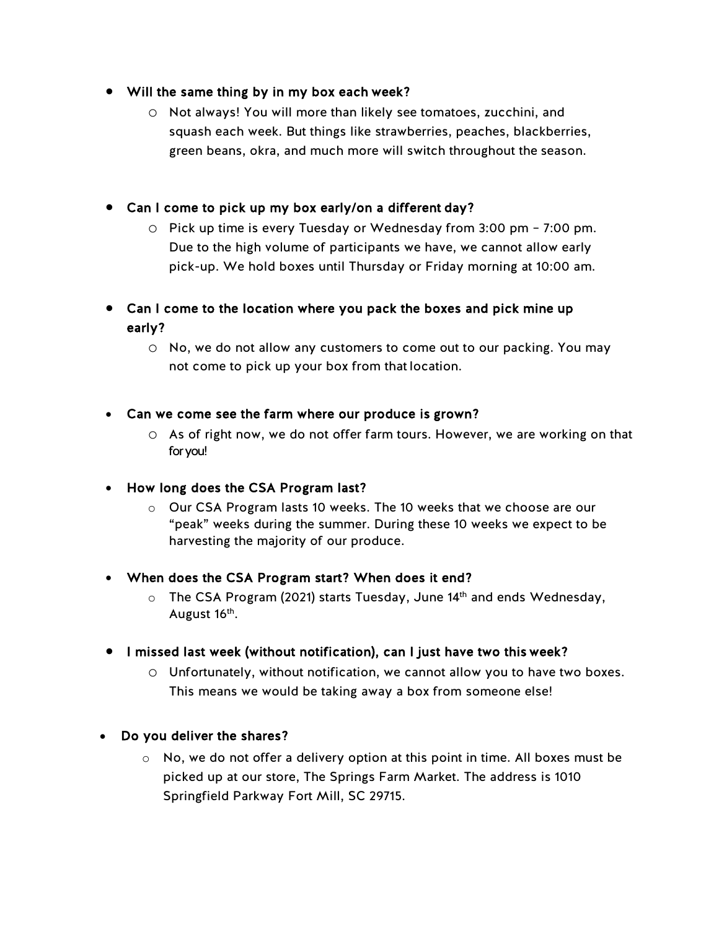# • Will the same thing by in my box each week?

o Not always! You will more than likely see tomatoes, zucchini, and squash each week. But things like strawberries, peaches, blackberries, green beans, okra, and much more will switch throughout the season.

# • Can I come to pick up my box early/on a different day?

o Pick up time is every Tuesday or Wednesday from 3:00 pm – 7:00 pm. Due to the high volume of participants we have, we cannot allow early pick-up. We hold boxes until Thursday or Friday morning at 10:00 am.

# • Can I come to the location where you pack the boxes and pick mine up early?

o No, we do not allow any customers to come out to our packing. You may not come to pick up your box from that location.

### • Can we come see the farm where our produce is grown?

o As of right now, we do not offer farm tours. However, we are working on that for you!

# • How long does the CSA Program last?

 $\circ$  Our CSA Program lasts 10 weeks. The 10 weeks that we choose are our "peak" weeks during the summer. During these 10 weeks we expect to be harvesting the majority of our produce.

# • When does the CSA Program start? When does it end?

 $\circ$  The CSA Program (2021) starts Tuesday, June 14<sup>th</sup> and ends Wednesday, August 16<sup>th</sup>.

# • I missed last week (without notification), can I just have two this week?

 $\circ$  Unfortunately, without notification, we cannot allow you to have two boxes. This means we would be taking away a box from someone else!

# • Do you deliver the shares?

 $\circ$  No, we do not offer a delivery option at this point in time. All boxes must be picked up at our store, The Springs Farm Market. The address is 1010 Springfield Parkway Fort Mill, SC 29715.